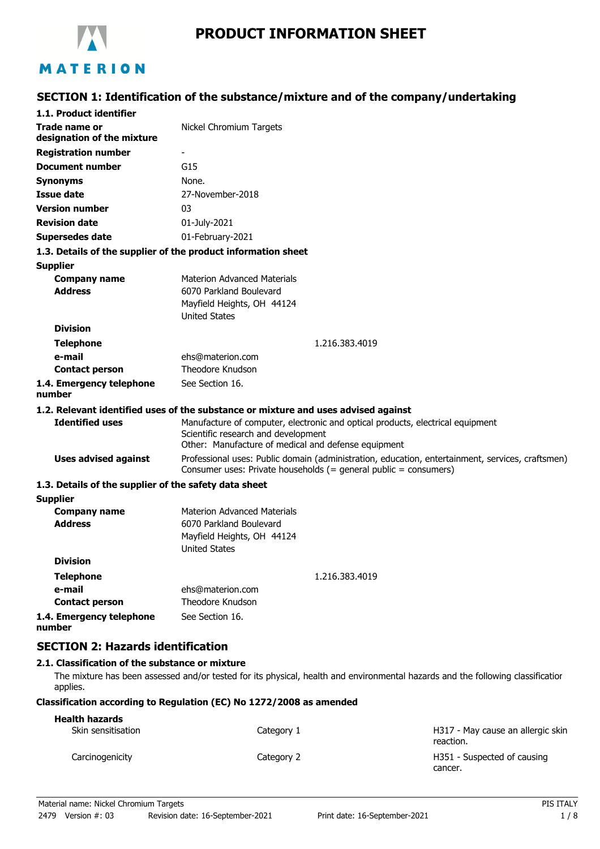

# **PRODUCT INFORMATION SHEET**

# **SECTION 1: Identification of the substance/mixture and of the company/undertaking**

| 1.1. Product identifier                                       |                                                                                                                                                                      |
|---------------------------------------------------------------|----------------------------------------------------------------------------------------------------------------------------------------------------------------------|
| Trade name or<br>designation of the mixture                   | Nickel Chromium Targets                                                                                                                                              |
| <b>Registration number</b>                                    |                                                                                                                                                                      |
| <b>Document number</b>                                        | G15                                                                                                                                                                  |
| <b>Synonyms</b>                                               | None.                                                                                                                                                                |
| Issue date                                                    | 27-November-2018                                                                                                                                                     |
| <b>Version number</b>                                         | 03                                                                                                                                                                   |
| <b>Revision date</b>                                          | 01-July-2021                                                                                                                                                         |
| <b>Supersedes date</b>                                        | 01-February-2021                                                                                                                                                     |
| 1.3. Details of the supplier of the product information sheet |                                                                                                                                                                      |
| <b>Supplier</b>                                               |                                                                                                                                                                      |
| <b>Company name</b>                                           | <b>Materion Advanced Materials</b>                                                                                                                                   |
| <b>Address</b>                                                | 6070 Parkland Boulevard                                                                                                                                              |
|                                                               | Mayfield Heights, OH 44124                                                                                                                                           |
|                                                               | <b>United States</b>                                                                                                                                                 |
| <b>Division</b>                                               |                                                                                                                                                                      |
| <b>Telephone</b>                                              | 1.216.383.4019                                                                                                                                                       |
| e-mail                                                        | ehs@materion.com<br>Theodore Knudson                                                                                                                                 |
| <b>Contact person</b>                                         |                                                                                                                                                                      |
| 1.4. Emergency telephone<br>number                            | See Section 16.                                                                                                                                                      |
|                                                               | 1.2. Relevant identified uses of the substance or mixture and uses advised against                                                                                   |
| <b>Identified uses</b>                                        | Manufacture of computer, electronic and optical products, electrical equipment                                                                                       |
|                                                               | Scientific research and development                                                                                                                                  |
|                                                               | Other: Manufacture of medical and defense equipment                                                                                                                  |
| <b>Uses advised against</b>                                   | Professional uses: Public domain (administration, education, entertainment, services, craftsmen)<br>Consumer uses: Private households (= general public = consumers) |
| 1.3. Details of the supplier of the safety data sheet         |                                                                                                                                                                      |
| <b>Supplier</b>                                               |                                                                                                                                                                      |
| <b>Company name</b>                                           | <b>Materion Advanced Materials</b>                                                                                                                                   |
| <b>Address</b>                                                | 6070 Parkland Boulevard                                                                                                                                              |
|                                                               | Mayfield Heights, OH 44124                                                                                                                                           |
| <b>Division</b>                                               | <b>United States</b>                                                                                                                                                 |
|                                                               |                                                                                                                                                                      |
| <b>Telephone</b>                                              | 1.216.383.4019                                                                                                                                                       |
| e-mail<br><b>Contact person</b>                               | ehs@materion.com<br>Theodore Knudson                                                                                                                                 |
| 1.4. Emergency telephone                                      | See Section 16.                                                                                                                                                      |
| number                                                        |                                                                                                                                                                      |
|                                                               |                                                                                                                                                                      |

# **SECTION 2: Hazards identification**

### **2.1. Classification of the substance or mixture**

The mixture has been assessed and/or tested for its physical, health and environmental hazards and the following classification applies.

### **Classification according to Regulation (EC) No 1272/2008 as amended**

| <b>Health hazards</b> |            |                                                |
|-----------------------|------------|------------------------------------------------|
| Skin sensitisation    | Category 1 | H317 - May cause an allergic skin<br>reaction. |
| Carcinogenicity       | Category 2 | H351 - Suspected of causing<br>cancer.         |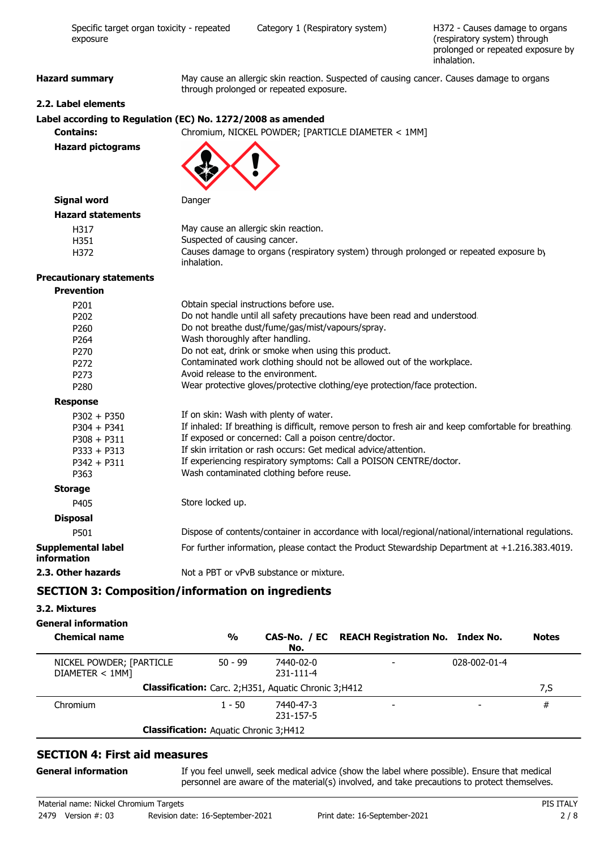| exposure                          | (respiratory system) through<br>prolonged or repeated exposure by<br>inhalation.                                                     |  |
|-----------------------------------|--------------------------------------------------------------------------------------------------------------------------------------|--|
| <b>Hazard summary</b>             | May cause an allergic skin reaction. Suspected of causing cancer. Causes damage to organs<br>through prolonged or repeated exposure. |  |
| 2.2. Label elements               |                                                                                                                                      |  |
|                                   | Label according to Regulation (EC) No. 1272/2008 as amended                                                                          |  |
| <b>Contains:</b>                  | Chromium, NICKEL POWDER; [PARTICLE DIAMETER < 1MM]                                                                                   |  |
| <b>Hazard pictograms</b>          |                                                                                                                                      |  |
| <b>Signal word</b>                | Danger                                                                                                                               |  |
| <b>Hazard statements</b>          |                                                                                                                                      |  |
| H317                              | May cause an allergic skin reaction.                                                                                                 |  |
| H351                              | Suspected of causing cancer.                                                                                                         |  |
| H372                              | Causes damage to organs (respiratory system) through prolonged or repeated exposure by<br>inhalation.                                |  |
| <b>Precautionary statements</b>   |                                                                                                                                      |  |
| <b>Prevention</b>                 |                                                                                                                                      |  |
| P201                              | Obtain special instructions before use.                                                                                              |  |
| P202                              | Do not handle until all safety precautions have been read and understood.                                                            |  |
| P260                              | Do not breathe dust/fume/gas/mist/vapours/spray.                                                                                     |  |
| P <sub>264</sub>                  | Wash thoroughly after handling.                                                                                                      |  |
| P270                              | Do not eat, drink or smoke when using this product.                                                                                  |  |
| P272                              | Contaminated work clothing should not be allowed out of the workplace.                                                               |  |
| P273                              | Avoid release to the environment.                                                                                                    |  |
| P280                              | Wear protective gloves/protective clothing/eye protection/face protection.                                                           |  |
| <b>Response</b>                   |                                                                                                                                      |  |
| $P302 + P350$                     | If on skin: Wash with plenty of water.                                                                                               |  |
| $P304 + P341$                     | If inhaled: If breathing is difficult, remove person to fresh air and keep comfortable for breathing.                                |  |
| $P308 + P311$                     | If exposed or concerned: Call a poison centre/doctor.                                                                                |  |
| $P333 + P313$                     | If skin irritation or rash occurs: Get medical advice/attention.                                                                     |  |
| $P342 + P311$                     | If experiencing respiratory symptoms: Call a POISON CENTRE/doctor.                                                                   |  |
| P363                              | Wash contaminated clothing before reuse.                                                                                             |  |
| <b>Storage</b>                    |                                                                                                                                      |  |
| P405                              | Store locked up.                                                                                                                     |  |
| <b>Disposal</b>                   |                                                                                                                                      |  |
| P501                              | Dispose of contents/container in accordance with local/regional/national/international regulations.                                  |  |
| Supplemental label<br>information | For further information, please contact the Product Stewardship Department at +1.216.383.4019.                                       |  |
| 2.3. Other hazards                | Not a PBT or vPvB substance or mixture.                                                                                              |  |

Specific target organ toxicity - repeated Category 1 (Respiratory system)

# **SECTION 3: Composition/information on ingredients**

### **3.2. Mixtures**

# **General information**

| <b>Chemical name</b>                          | $\frac{0}{0}$ | No.                                                    | CAS-No. / EC REACH Registration No. Index No. |              | <b>Notes</b> |
|-----------------------------------------------|---------------|--------------------------------------------------------|-----------------------------------------------|--------------|--------------|
| NICKEL POWDER; [PARTICLE<br>DIAMETER < 1MM]   | $50 - 99$     | 7440-02-0<br>231-111-4                                 |                                               | 028-002-01-4 |              |
|                                               |               | Classification: Carc. 2; H351, Aquatic Chronic 3; H412 |                                               |              | 7,S          |
| Chromium                                      | $1 - 50$      | 7440-47-3<br>231-157-5                                 |                                               |              | #            |
| <b>Classification:</b> Aquatic Chronic 3;H412 |               |                                                        |                                               |              |              |

# **SECTION 4: First aid measures**

### **General information**

If you feel unwell, seek medical advice (show the label where possible). Ensure that medical personnel are aware of the material(s) involved, and take precautions to protect themselves.

H372 - Causes damage to organs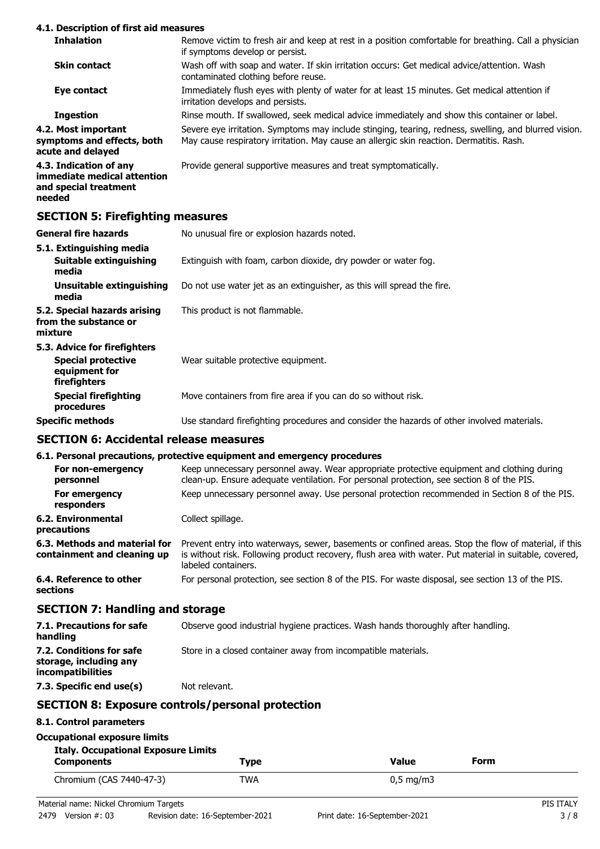### **4.1. Description of first aid measures**

| <b>Inhalation</b>                                                                        | Remove victim to fresh air and keep at rest in a position comfortable for breathing. Call a physician<br>if symptoms develop or persist.                                                          |
|------------------------------------------------------------------------------------------|---------------------------------------------------------------------------------------------------------------------------------------------------------------------------------------------------|
| <b>Skin contact</b>                                                                      | Wash off with soap and water. If skin irritation occurs: Get medical advice/attention. Wash<br>contaminated clothing before reuse.                                                                |
| Eye contact                                                                              | Immediately flush eyes with plenty of water for at least 15 minutes. Get medical attention if<br>irritation develops and persists.                                                                |
| <b>Ingestion</b>                                                                         | Rinse mouth. If swallowed, seek medical advice immediately and show this container or label.                                                                                                      |
| 4.2. Most important<br>symptoms and effects, both<br>acute and delayed                   | Severe eye irritation. Symptoms may include stinging, tearing, redness, swelling, and blurred vision.<br>May cause respiratory irritation. May cause an allergic skin reaction. Dermatitis. Rash. |
| 4.3. Indication of any<br>immediate medical attention<br>and special treatment<br>needed | Provide general supportive measures and treat symptomatically.                                                                                                                                    |
| <b>SECTION 5: Firefighting measures</b>                                                  |                                                                                                                                                                                                   |

| General fire hazards                                                                              | No unusual fire or explosion hazards noted.                                                |
|---------------------------------------------------------------------------------------------------|--------------------------------------------------------------------------------------------|
| 5.1. Extinguishing media<br>Suitable extinguishing<br>media                                       | Extinguish with foam, carbon dioxide, dry powder or water fog.                             |
| Unsuitable extinguishing<br>media                                                                 | Do not use water jet as an extinguisher, as this will spread the fire.                     |
| 5.2. Special hazards arising<br>from the substance or<br>mixture                                  | This product is not flammable.                                                             |
| 5.3. Advice for firefighters<br><b>Special protective</b><br>equipment for<br><b>firefighters</b> | Wear suitable protective equipment.                                                        |
| <b>Special firefighting</b><br>procedures                                                         | Move containers from fire area if you can do so without risk.                              |
| Specific methods                                                                                  | Use standard firefighting procedures and consider the hazards of other involved materials. |
|                                                                                                   |                                                                                            |

# **SECTION 6: Accidental release measures**

# **6.1. Personal precautions, protective equipment and emergency procedures**

| o.i. Personal precautions, protective equipment and emergency procedures                                                                                                                                                              |
|---------------------------------------------------------------------------------------------------------------------------------------------------------------------------------------------------------------------------------------|
| Keep unnecessary personnel away. Wear appropriate protective equipment and clothing during<br>clean-up. Ensure adequate ventilation. For personal protection, see section 8 of the PIS.                                               |
| Keep unnecessary personnel away. Use personal protection recommended in Section 8 of the PIS.                                                                                                                                         |
| Collect spillage.                                                                                                                                                                                                                     |
| Prevent entry into waterways, sewer, basements or confined areas. Stop the flow of material, if this<br>is without risk. Following product recovery, flush area with water. Put material in suitable, covered,<br>labeled containers. |
| For personal protection, see section 8 of the PIS. For waste disposal, see section 13 of the PIS.                                                                                                                                     |
|                                                                                                                                                                                                                                       |

# **SECTION 7: Handling and storage**

| 7.1. Precautions for safe<br>handling                                   | Observe good industrial hygiene practices. Wash hands thoroughly after handling. |
|-------------------------------------------------------------------------|----------------------------------------------------------------------------------|
| 7.2. Conditions for safe<br>storage, including any<br>incompatibilities | Store in a closed container away from incompatible materials.                    |
| 7.3. Specific end use(s)                                                | Not relevant.                                                                    |

# **SECTION 8: Exposure controls/personal protection**

# **8.1. Control parameters**

| Occupational exposure limits               |      |                    |  |
|--------------------------------------------|------|--------------------|--|
| <b>Italy. Occupational Exposure Limits</b> |      |                    |  |
| <b>Components</b>                          | Tvpe | Form<br>Value      |  |
| Chromium (CAS 7440-47-3)                   | TWA  | $0.5 \text{ mg/m}$ |  |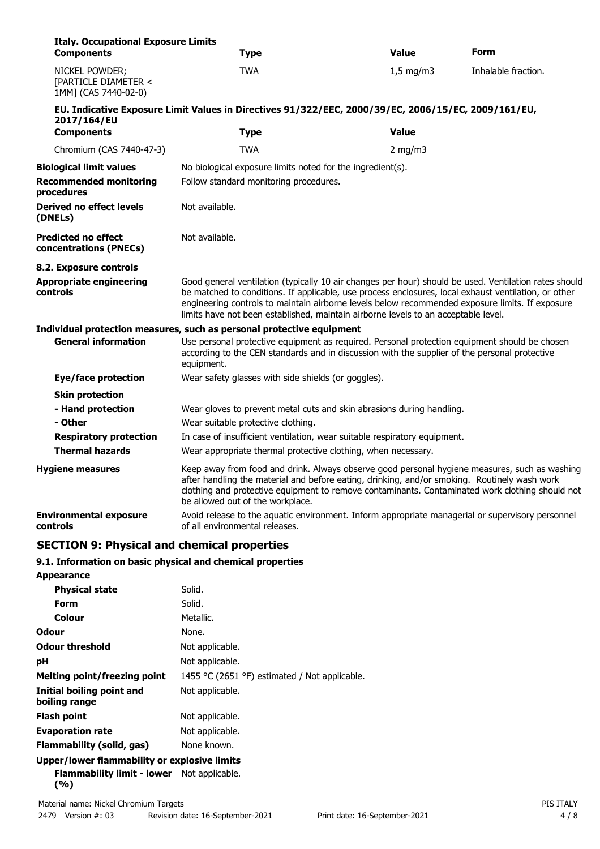| <b>Italy. Occupational Exposure Limits</b><br><b>Components</b> | Type                                                                                                                                                                                                                                                                                                                                                                                                   | <b>Value</b> | Form                |
|-----------------------------------------------------------------|--------------------------------------------------------------------------------------------------------------------------------------------------------------------------------------------------------------------------------------------------------------------------------------------------------------------------------------------------------------------------------------------------------|--------------|---------------------|
| NICKEL POWDER;<br>[PARTICLE DIAMETER <<br>1MM] (CAS 7440-02-0)  | <b>TWA</b>                                                                                                                                                                                                                                                                                                                                                                                             | $1,5$ mg/m3  | Inhalable fraction. |
|                                                                 | EU. Indicative Exposure Limit Values in Directives 91/322/EEC, 2000/39/EC, 2006/15/EC, 2009/161/EU,                                                                                                                                                                                                                                                                                                    |              |                     |
| 2017/164/EU                                                     |                                                                                                                                                                                                                                                                                                                                                                                                        |              |                     |
| <b>Components</b>                                               | <b>Type</b>                                                                                                                                                                                                                                                                                                                                                                                            | <b>Value</b> |                     |
| Chromium (CAS 7440-47-3)                                        | <b>TWA</b>                                                                                                                                                                                                                                                                                                                                                                                             | $2$ mg/m $3$ |                     |
| <b>Biological limit values</b>                                  | No biological exposure limits noted for the ingredient(s).                                                                                                                                                                                                                                                                                                                                             |              |                     |
| <b>Recommended monitoring</b><br>procedures                     | Follow standard monitoring procedures.                                                                                                                                                                                                                                                                                                                                                                 |              |                     |
| <b>Derived no effect levels</b><br>(DNELs)                      | Not available.                                                                                                                                                                                                                                                                                                                                                                                         |              |                     |
| <b>Predicted no effect</b><br>concentrations (PNECs)            | Not available.                                                                                                                                                                                                                                                                                                                                                                                         |              |                     |
| 8.2. Exposure controls                                          |                                                                                                                                                                                                                                                                                                                                                                                                        |              |                     |
| <b>Appropriate engineering</b><br>controls                      | Good general ventilation (typically 10 air changes per hour) should be used. Ventilation rates should<br>be matched to conditions. If applicable, use process enclosures, local exhaust ventilation, or other<br>engineering controls to maintain airborne levels below recommended exposure limits. If exposure<br>limits have not been established, maintain airborne levels to an acceptable level. |              |                     |
|                                                                 | Individual protection measures, such as personal protective equipment                                                                                                                                                                                                                                                                                                                                  |              |                     |
| <b>General information</b>                                      | Use personal protective equipment as required. Personal protection equipment should be chosen<br>according to the CEN standards and in discussion with the supplier of the personal protective<br>equipment.                                                                                                                                                                                           |              |                     |
| Eye/face protection                                             | Wear safety glasses with side shields (or goggles).                                                                                                                                                                                                                                                                                                                                                    |              |                     |
| <b>Skin protection</b>                                          |                                                                                                                                                                                                                                                                                                                                                                                                        |              |                     |
| - Hand protection                                               | Wear gloves to prevent metal cuts and skin abrasions during handling.                                                                                                                                                                                                                                                                                                                                  |              |                     |
| - Other                                                         | Wear suitable protective clothing.                                                                                                                                                                                                                                                                                                                                                                     |              |                     |
| <b>Respiratory protection</b>                                   | In case of insufficient ventilation, wear suitable respiratory equipment.                                                                                                                                                                                                                                                                                                                              |              |                     |
| <b>Thermal hazards</b>                                          | Wear appropriate thermal protective clothing, when necessary.                                                                                                                                                                                                                                                                                                                                          |              |                     |
| <b>Hygiene measures</b>                                         | Keep away from food and drink. Always observe good personal hygiene measures, such as washing<br>after handling the material and before eating, drinking, and/or smoking. Routinely wash work<br>clothing and protective equipment to remove contaminants. Contaminated work clothing should not<br>be allowed out of the workplace.                                                                   |              |                     |
| <b>Environmental exposure</b><br>controls                       | Avoid release to the aquatic environment. Inform appropriate managerial or supervisory personnel<br>of all environmental releases.                                                                                                                                                                                                                                                                     |              |                     |
| <b>SECTION 9: Physical and chemical properties</b>              |                                                                                                                                                                                                                                                                                                                                                                                                        |              |                     |

# **9.1. Information on basic physical and chemical properties**

| <b>Appearance</b>                                   |                                               |
|-----------------------------------------------------|-----------------------------------------------|
| <b>Physical state</b>                               | Solid.                                        |
| Form                                                | Solid.                                        |
| <b>Colour</b>                                       | Metallic.                                     |
| Odour                                               | None.                                         |
| <b>Odour threshold</b>                              | Not applicable.                               |
| рH                                                  | Not applicable.                               |
| <b>Melting point/freezing point</b>                 | 1455 °C (2651 °F) estimated / Not applicable. |
| Initial boiling point and<br>boiling range          | Not applicable.                               |
| <b>Flash point</b>                                  | Not applicable.                               |
| <b>Evaporation rate</b>                             | Not applicable.                               |
| Flammability (solid, gas)                           | None known.                                   |
| <b>Upper/lower flammability or explosive limits</b> |                                               |
| <b>Flammability limit - lower</b> Not applicable.   |                                               |

**(%)**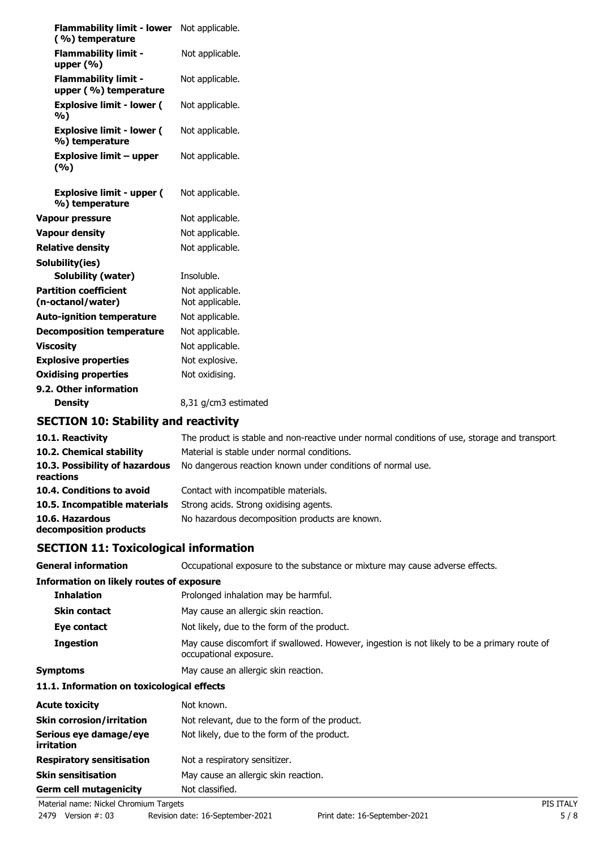| <b>Flammability limit - lower</b><br>(%) temperature | Not applicable.                    |
|------------------------------------------------------|------------------------------------|
| <b>Flammability limit -</b><br>upper $(% )$          | Not applicable.                    |
| <b>Flammability limit -</b><br>upper (%) temperature | Not applicable.                    |
| <b>Explosive limit - lower (</b><br>%)               | Not applicable.                    |
| <b>Explosive limit - lower (</b><br>%) temperature   | Not applicable.                    |
| <b>Explosive limit - upper</b><br>(9/6)              | Not applicable.                    |
| <b>Explosive limit - upper (</b><br>%) temperature   | Not applicable.                    |
| <b>Vapour pressure</b>                               | Not applicable.                    |
| <b>Vapour density</b>                                | Not applicable.                    |
| <b>Relative density</b>                              | Not applicable.                    |
| Solubility(ies)                                      |                                    |
| Solubility (water)                                   | Insoluble.                         |
| <b>Partition coefficient</b><br>(n-octanol/water)    | Not applicable.<br>Not applicable. |
| <b>Auto-ignition temperature</b>                     | Not applicable.                    |
| <b>Decomposition temperature</b>                     | Not applicable.                    |
| <b>Viscosity</b>                                     | Not applicable.                    |
| <b>Explosive properties</b>                          | Not explosive.                     |
| <b>Oxidising properties</b>                          | Not oxidising.                     |
| 9.2. Other information                               |                                    |
| <b>Density</b>                                       | 8,31 g/cm3 estimated               |
| <b>SECTION 10: Stability and reactivity</b>          |                                    |
|                                                      |                                    |

| 10.1. Reactivity                            | The product is stable and non-reactive under normal conditions of use, storage and transport |
|---------------------------------------------|----------------------------------------------------------------------------------------------|
| 10.2. Chemical stability                    | Material is stable under normal conditions.                                                  |
| 10.3. Possibility of hazardous<br>reactions | No dangerous reaction known under conditions of normal use.                                  |
| 10.4. Conditions to avoid                   | Contact with incompatible materials.                                                         |
| 10.5. Incompatible materials                | Strong acids. Strong oxidising agents.                                                       |
| 10.6. Hazardous<br>decomposition products   | No hazardous decomposition products are known.                                               |

# **SECTION 11: Toxicological information**

| <b>General information</b>                      | Occupational exposure to the substance or mixture may cause adverse effects.                                           |  |  |  |
|-------------------------------------------------|------------------------------------------------------------------------------------------------------------------------|--|--|--|
| <b>Information on likely routes of exposure</b> |                                                                                                                        |  |  |  |
| <b>Inhalation</b>                               | Prolonged inhalation may be harmful.                                                                                   |  |  |  |
| <b>Skin contact</b>                             | May cause an allergic skin reaction.                                                                                   |  |  |  |
| Eve contact                                     | Not likely, due to the form of the product.                                                                            |  |  |  |
| <b>Ingestion</b>                                | May cause discomfort if swallowed. However, ingestion is not likely to be a primary route of<br>occupational exposure. |  |  |  |
| <b>Symptoms</b>                                 | May cause an allergic skin reaction.                                                                                   |  |  |  |
| 11.1. Information on toxicological effects      |                                                                                                                        |  |  |  |
| <b>Acute toxicity</b>                           | Not known.                                                                                                             |  |  |  |

| <b>Acute toxicity</b>                | Not known.                                    |  |
|--------------------------------------|-----------------------------------------------|--|
| <b>Skin corrosion/irritation</b>     | Not relevant, due to the form of the product. |  |
| Serious eye damage/eye<br>irritation | Not likely, due to the form of the product.   |  |
| <b>Respiratory sensitisation</b>     | Not a respiratory sensitizer.                 |  |
| <b>Skin sensitisation</b>            | May cause an allergic skin reaction.          |  |
| <b>Germ cell mutagenicity</b>        | Not classified.                               |  |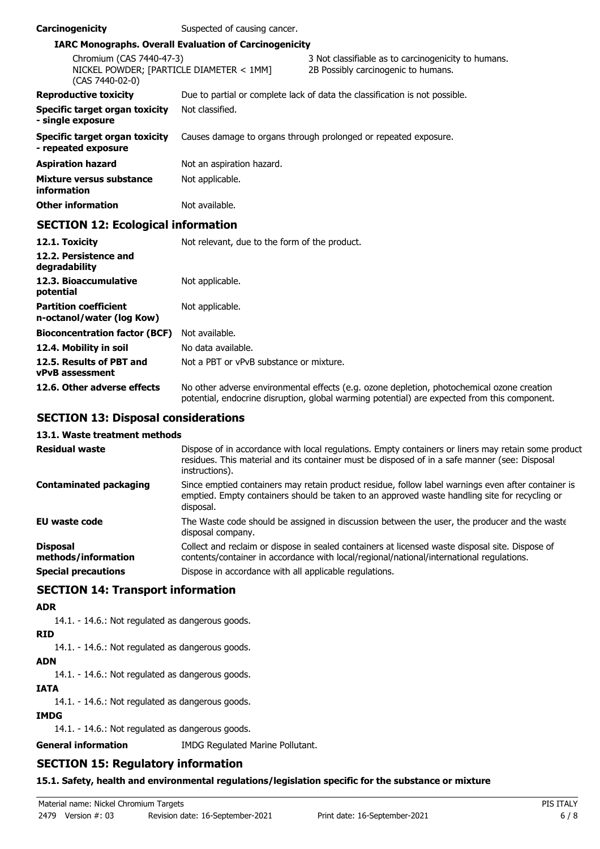| Carcinogenicity                                                                         | Suspected of causing cancer. |                                                                                            |  |  |
|-----------------------------------------------------------------------------------------|------------------------------|--------------------------------------------------------------------------------------------|--|--|
| <b>IARC Monographs. Overall Evaluation of Carcinogenicity</b>                           |                              |                                                                                            |  |  |
| Chromium (CAS 7440-47-3)<br>NICKEL POWDER; [PARTICLE DIAMETER < 1MM]<br>(CAS 7440-02-0) |                              | 3 Not classifiable as to carcinogenicity to humans.<br>2B Possibly carcinogenic to humans. |  |  |
| <b>Reproductive toxicity</b>                                                            |                              | Due to partial or complete lack of data the classification is not possible.                |  |  |
| Specific target organ toxicity<br>- single exposure                                     | Not classified.              |                                                                                            |  |  |
| Specific target organ toxicity<br>- repeated exposure                                   |                              | Causes damage to organs through prolonged or repeated exposure.                            |  |  |
| Aspiration hazard                                                                       | Not an aspiration hazard.    |                                                                                            |  |  |
| Mixture versus substance<br>information                                                 | Not applicable.              |                                                                                            |  |  |
| Other information                                                                       | Not available.               |                                                                                            |  |  |
| <b>SECTION 12: Ecological information</b>                                               |                              |                                                                                            |  |  |

| 12.1. Toxicity                                            | Not relevant, due to the form of the product.                                                                                                                                              |  |
|-----------------------------------------------------------|--------------------------------------------------------------------------------------------------------------------------------------------------------------------------------------------|--|
| 12.2. Persistence and<br>degradability                    |                                                                                                                                                                                            |  |
| 12.3. Bioaccumulative<br>potential                        | Not applicable.                                                                                                                                                                            |  |
| <b>Partition coefficient</b><br>n-octanol/water (log Kow) | Not applicable.                                                                                                                                                                            |  |
| <b>Bioconcentration factor (BCF)</b>                      | Not available.                                                                                                                                                                             |  |
| 12.4. Mobility in soil                                    | No data available.                                                                                                                                                                         |  |
| 12.5. Results of PBT and<br><b>vPvB</b> assessment        | Not a PBT or vPvB substance or mixture.                                                                                                                                                    |  |
| 12.6. Other adverse effects                               | No other adverse environmental effects (e.g. ozone depletion, photochemical ozone creation<br>potential, endocrine disruption, global warming potential) are expected from this component. |  |

# **SECTION 13: Disposal considerations**

### **13.1. Waste treatment methods**

| <b>Residual waste</b>                  | Dispose of in accordance with local regulations. Empty containers or liners may retain some product<br>residues. This material and its container must be disposed of in a safe manner (see: Disposal<br>instructions). |
|----------------------------------------|------------------------------------------------------------------------------------------------------------------------------------------------------------------------------------------------------------------------|
| <b>Contaminated packaging</b>          | Since emptied containers may retain product residue, follow label warnings even after container is<br>emptied. Empty containers should be taken to an approved waste handling site for recycling or<br>disposal.       |
| <b>EU waste code</b>                   | The Waste code should be assigned in discussion between the user, the producer and the waste<br>disposal company.                                                                                                      |
| <b>Disposal</b><br>methods/information | Collect and reclaim or dispose in sealed containers at licensed waste disposal site. Dispose of<br>contents/container in accordance with local/regional/national/international regulations.                            |
| <b>Special precautions</b>             | Dispose in accordance with all applicable regulations.                                                                                                                                                                 |

# **SECTION 14: Transport information**

### **ADR**

14.1. - 14.6.: Not regulated as dangerous goods.

# **RID**

14.1. - 14.6.: Not regulated as dangerous goods.

# **ADN**

14.1. - 14.6.: Not regulated as dangerous goods.

### **IATA**

14.1. - 14.6.: Not regulated as dangerous goods.

### **IMDG**

14.1. - 14.6.: Not regulated as dangerous goods.

**General information** IMDG Regulated Marine Pollutant.

# **SECTION 15: Regulatory information**

### **15.1. Safety, health and environmental regulations/legislation specific for the substance or mixture**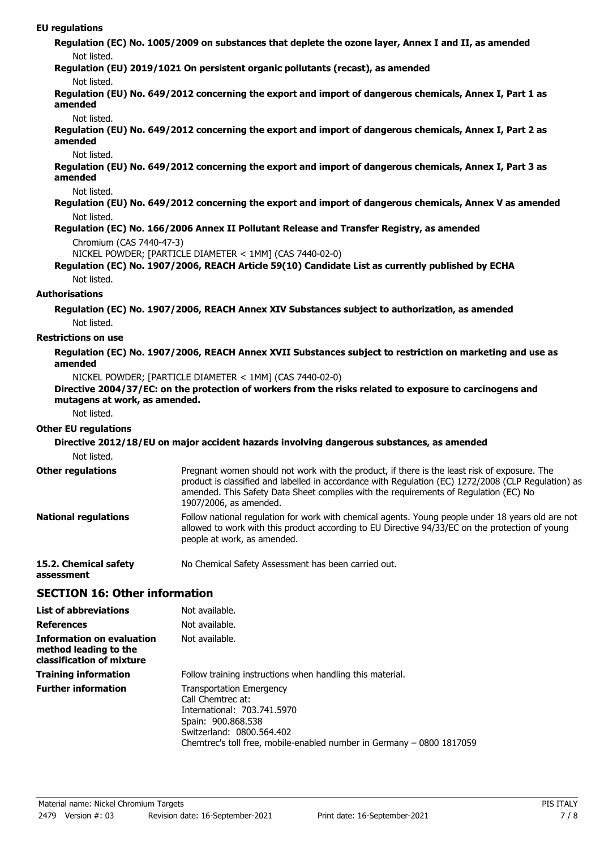### **EU regulations**

**Regulation (EC) No. 1005/2009 on substances that deplete the ozone layer, Annex I and II, as amended** Not listed.

**Regulation (EU) 2019/1021 On persistent organic pollutants (recast), as amended**

#### Not listed.

**Regulation (EU) No. 649/2012 concerning the export and import of dangerous chemicals, Annex I, Part 1 as amended**

#### Not listed.

**Regulation (EU) No. 649/2012 concerning the export and import of dangerous chemicals, Annex I, Part 2 as amended**

#### Not listed.

**Regulation (EU) No. 649/2012 concerning the export and import of dangerous chemicals, Annex I, Part 3 as amended**

#### Not listed.

**Regulation (EU) No. 649/2012 concerning the export and import of dangerous chemicals, Annex V as amended** Not listed.

### **Regulation (EC) No. 166/2006 Annex II Pollutant Release and Transfer Registry, as amended** Chromium (CAS 7440-47-3)

NICKEL POWDER; [PARTICLE DIAMETER < 1MM] (CAS 7440-02-0)

### **Regulation (EC) No. 1907/2006, REACH Article 59(10) Candidate List as currently published by ECHA** Not listed.

### **Authorisations**

**Regulation (EC) No. 1907/2006, REACH Annex XIV Substances subject to authorization, as amended** Not listed.

#### **Restrictions on use**

### **Regulation (EC) No. 1907/2006, REACH Annex XVII Substances subject to restriction on marketing and use as amended**

NICKEL POWDER; [PARTICLE DIAMETER < 1MM] (CAS 7440-02-0)

### **Directive 2004/37/EC: on the protection of workers from the risks related to exposure to carcinogens and mutagens at work, as amended.**

Not listed.

### **Other EU regulations**

**assessment**

#### **Directive 2012/18/EU on major accident hazards involving dangerous substances, as amended** Not listed. Pregnant women should not work with the product, if there is the least risk of exposure. The product is classified and labelled in accordance with Regulation (EC) 1272/2008 (CLP Regulation) as amended. This Safety Data Sheet complies with the requirements of Regulation (EC) No 1907/2006, as amended. **Other regulations** Follow national regulation for work with chemical agents. Young people under 18 years old are not allowed to work with this product according to EU Directive 94/33/EC on the protection of young people at work, as amended. **National regulations 15.2. Chemical safety** No Chemical Safety Assessment has been carried out.

### **SECTION 16: Other information**

| <b>List of abbreviations</b>                                                           | Not available.                                                                                                                                                                                                  |  |
|----------------------------------------------------------------------------------------|-----------------------------------------------------------------------------------------------------------------------------------------------------------------------------------------------------------------|--|
| <b>References</b>                                                                      | Not available.                                                                                                                                                                                                  |  |
| <b>Information on evaluation</b><br>method leading to the<br>classification of mixture | Not available.                                                                                                                                                                                                  |  |
| <b>Training information</b>                                                            | Follow training instructions when handling this material.                                                                                                                                                       |  |
| <b>Further information</b>                                                             | <b>Transportation Emergency</b><br>Call Chemtrec at:<br>International: 703.741.5970<br>Spain: 900.868.538<br>Switzerland: 0800.564.402<br>Chemtrec's toll free, mobile-enabled number in Germany - 0800 1817059 |  |